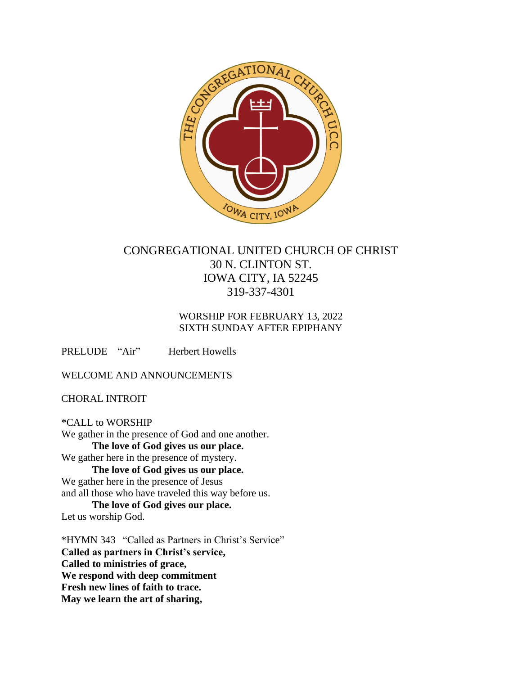

# CONGREGATIONAL UNITED CHURCH OF CHRIST 30 N. CLINTON ST. IOWA CITY, IA 52245 319-337-4301

## WORSHIP FOR FEBRUARY 13, 2022 SIXTH SUNDAY AFTER EPIPHANY

PRELUDE "Air" Herbert Howells

WELCOME AND ANNOUNCEMENTS

CHORAL INTROIT

\*CALL to WORSHIP We gather in the presence of God and one another. **The love of God gives us our place.** We gather here in the presence of mystery. **The love of God gives us our place.** We gather here in the presence of Jesus and all those who have traveled this way before us. **The love of God gives our place.** Let us worship God.

\*HYMN 343 "Called as Partners in Christ's Service" **Called as partners in Christ's service, Called to ministries of grace, We respond with deep commitment Fresh new lines of faith to trace. May we learn the art of sharing,**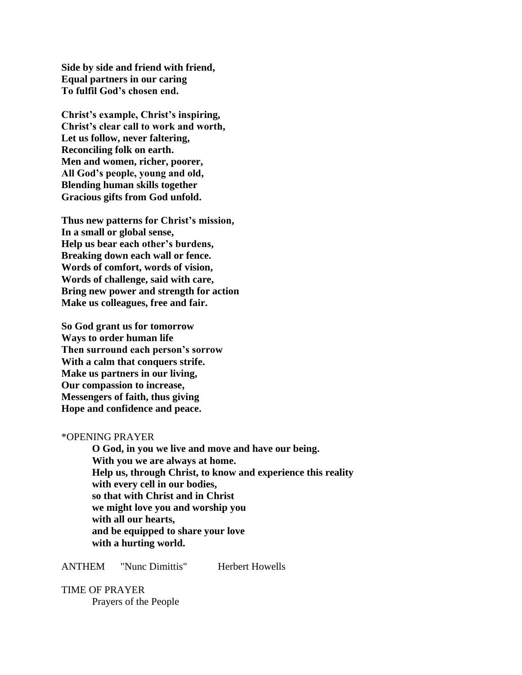**Side by side and friend with friend, Equal partners in our caring To fulfil God's chosen end.**

**Christ's example, Christ's inspiring, Christ's clear call to work and worth, Let us follow, never faltering, Reconciling folk on earth. Men and women, richer, poorer, All God's people, young and old, Blending human skills together Gracious gifts from God unfold.**

**Thus new patterns for Christ's mission, In a small or global sense, Help us bear each other's burdens, Breaking down each wall or fence. Words of comfort, words of vision, Words of challenge, said with care, Bring new power and strength for action Make us colleagues, free and fair.**

**So God grant us for tomorrow Ways to order human life Then surround each person's sorrow With a calm that conquers strife. Make us partners in our living, Our compassion to increase, Messengers of faith, thus giving Hope and confidence and peace.**

#### \*OPENING PRAYER

**O God, in you we live and move and have our being. With you we are always at home. Help us, through Christ, to know and experience this reality with every cell in our bodies, so that with Christ and in Christ we might love you and worship you with all our hearts, and be equipped to share your love with a hurting world.**

#### ANTHEM "Nunc Dimittis" Herbert Howells

TIME OF PRAYER Prayers of the People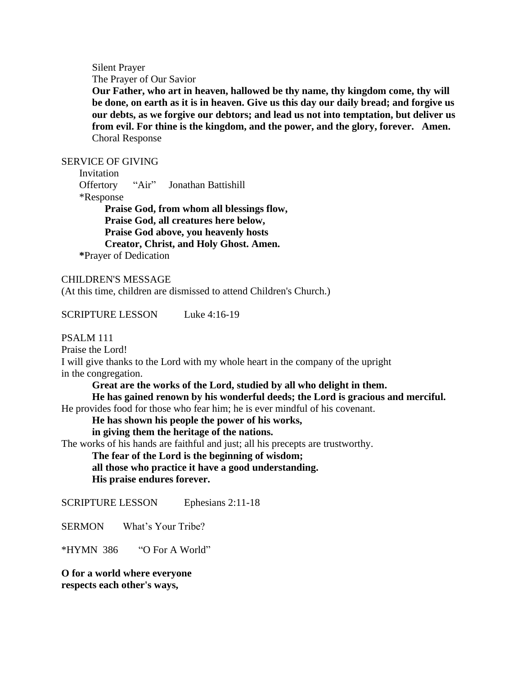Silent Prayer

The Prayer of Our Savior

**Our Father, who art in heaven, hallowed be thy name, thy kingdom come, thy will be done, on earth as it is in heaven. Give us this day our daily bread; and forgive us our debts, as we forgive our debtors; and lead us not into temptation, but deliver us from evil. For thine is the kingdom, and the power, and the glory, forever. Amen.** Choral Response

#### SERVICE OF GIVING

 Invitation Offertory "Air" Jonathan Battishill \*Response **Praise God, from whom all blessings flow, Praise God, all creatures here below, Praise God above, you heavenly hosts Creator, Christ, and Holy Ghost. Amen. \***Prayer of Dedication

CHILDREN'S MESSAGE (At this time, children are dismissed to attend Children's Church.)

SCRIPTURE LESSON Luke 4:16-19

PSALM 111

Praise the Lord!

I will give thanks to the Lord with my whole heart in the company of the upright in the congregation.

**Great are the works of the Lord, studied by all who delight in them. He has gained renown by his wonderful deeds; the Lord is gracious and merciful.** He provides food for those who fear him; he is ever mindful of his covenant.

**He has shown his people the power of his works,** 

**in giving them the heritage of the nations.**

The works of his hands are faithful and just; all his precepts are trustworthy.

**The fear of the Lord is the beginning of wisdom;** 

**all those who practice it have a good understanding. His praise endures forever.**

SCRIPTURE LESSON Ephesians 2:11-18

SERMON What's Your Tribe?

\*HYMN 386 "O For A World"

**O for a world where everyone respects each other's ways,**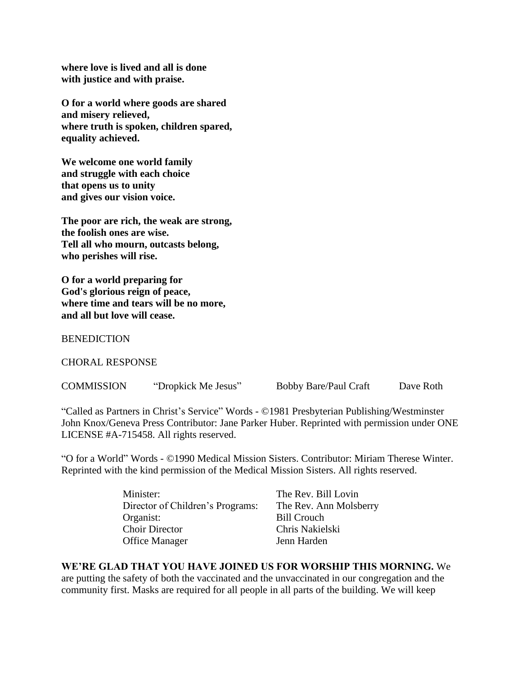**where love is lived and all is done with justice and with praise.**

**O for a world where goods are shared and misery relieved, where truth is spoken, children spared, equality achieved.**

**We welcome one world family and struggle with each choice that opens us to unity and gives our vision voice.**

**The poor are rich, the weak are strong, the foolish ones are wise. Tell all who mourn, outcasts belong, who perishes will rise.**

**O for a world preparing for God's glorious reign of peace, where time and tears will be no more, and all but love will cease.**

**BENEDICTION** 

CHORAL RESPONSE

COMMISSION "Dropkick Me Jesus" Bobby Bare/Paul Craft Dave Roth

"Called as Partners in Christ's Service" Words - ©1981 Presbyterian Publishing/Westminster John Knox/Geneva Press Contributor: Jane Parker Huber. Reprinted with permission under ONE LICENSE #A-715458. All rights reserved.

"O for a World" Words - ©1990 Medical Mission Sisters. Contributor: Miriam Therese Winter. Reprinted with the kind permission of the Medical Mission Sisters. All rights reserved.

| The Rev. Bill Lovin    |
|------------------------|
| The Rev. Ann Molsberry |
| <b>Bill Crouch</b>     |
| Chris Nakielski        |
| Jenn Harden            |
|                        |

#### **WE'RE GLAD THAT YOU HAVE JOINED US FOR WORSHIP THIS MORNING.** We are putting the safety of both the vaccinated and the unvaccinated in our congregation and the community first. Masks are required for all people in all parts of the building. We will keep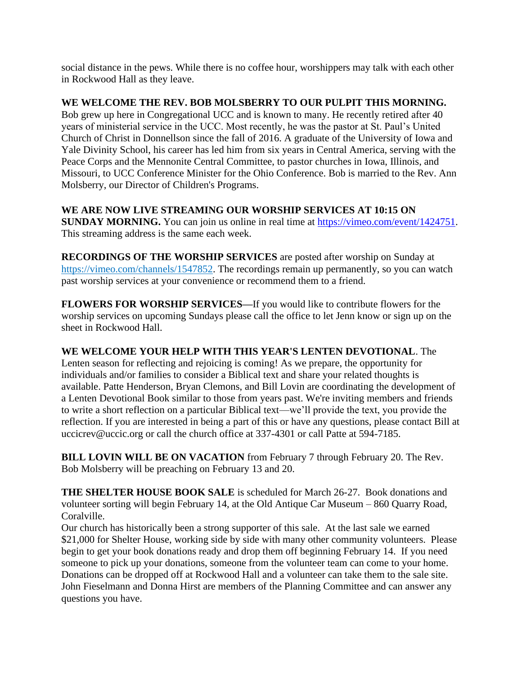social distance in the pews. While there is no coffee hour, worshippers may talk with each other in Rockwood Hall as they leave.

## **WE WELCOME THE REV. BOB MOLSBERRY TO OUR PULPIT THIS MORNING.**

Bob grew up here in Congregational UCC and is known to many. He recently retired after 40 years of ministerial service in the UCC. Most recently, he was the pastor at St. Paul's United Church of Christ in Donnellson since the fall of 2016. A graduate of the University of Iowa and Yale Divinity School, his career has led him from six years in Central America, serving with the Peace Corps and the Mennonite Central Committee, to pastor churches in Iowa, Illinois, and Missouri, to UCC Conference Minister for the Ohio Conference. Bob is married to the Rev. Ann Molsberry, our Director of Children's Programs.

## **WE ARE NOW LIVE STREAMING OUR WORSHIP SERVICES AT 10:15 ON**

**SUNDAY MORNING.** You can join us online in real time at [https://vimeo.com/event/1424751.](https://vimeo.com/event/1424751) This streaming address is the same each week.

**RECORDINGS OF THE WORSHIP SERVICES** are posted after worship on Sunday at [https://vimeo.com/channels/1547852.](https://vimeo.com/channels/1547852) The recordings remain up permanently, so you can watch past worship services at your convenience or recommend them to a friend.

**FLOWERS FOR WORSHIP SERVICES—**If you would like to contribute flowers for the worship services on upcoming Sundays please call the office to let Jenn know or sign up on the sheet in Rockwood Hall.

**WE WELCOME YOUR HELP WITH THIS YEAR'S LENTEN DEVOTIONAL**. The Lenten season for reflecting and rejoicing is coming! As we prepare, the opportunity for individuals and/or families to consider a Biblical text and share your related thoughts is available. Patte Henderson, Bryan Clemons, and Bill Lovin are coordinating the development of a Lenten Devotional Book similar to those from years past. We're inviting members and friends to write a short reflection on a particular Biblical text—we'll provide the text, you provide the reflection. If you are interested in being a part of this or have any questions, please contact Bill at uccicrev@uccic.org or call the church office at 337-4301 or call Patte at 594-7185.

**BILL LOVIN WILL BE ON VACATION** from February 7 through February 20. The Rev. Bob Molsberry will be preaching on February 13 and 20.

**THE SHELTER HOUSE BOOK SALE** is scheduled for March 26-27. Book donations and volunteer sorting will begin February 14, at the Old Antique Car Museum – 860 Quarry Road, Coralville.

Our church has historically been a strong supporter of this sale. At the last sale we earned \$21,000 for Shelter House, working side by side with many other community volunteers. Please begin to get your book donations ready and drop them off beginning February 14. If you need someone to pick up your donations, someone from the volunteer team can come to your home. Donations can be dropped off at Rockwood Hall and a volunteer can take them to the sale site. John Fieselmann and Donna Hirst are members of the Planning Committee and can answer any questions you have.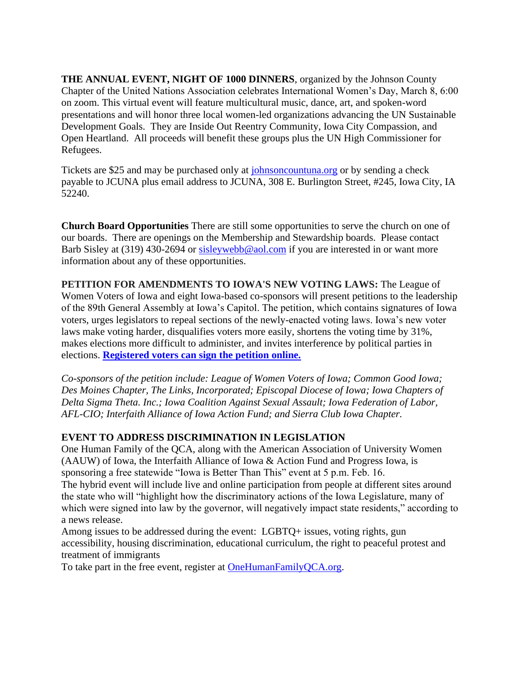**THE ANNUAL EVENT, NIGHT OF 1000 DINNERS**, organized by the Johnson County Chapter of the United Nations Association celebrates International Women's Day, March 8, 6:00 on zoom. This virtual event will feature multicultural music, dance, art, and spoken-word presentations and will honor three local women-led organizations advancing the UN Sustainable Development Goals. They are Inside Out Reentry Community, Iowa City Compassion, and Open Heartland. All proceeds will benefit these groups plus the UN High Commissioner for Refugees.

Tickets are \$25 and may be purchased only at [johnsoncountuna.org](http://johnsoncountuna.org/) or by sending a check payable to JCUNA plus email address to JCUNA, 308 E. Burlington Street, #245, Iowa City, IA 52240.

**Church Board Opportunities** There are still some opportunities to serve the church on one of our boards. There are openings on the Membership and Stewardship boards. Please contact Barb Sisley at (319) 430-2694 or [sisleywebb@aol.com](mailto:sisleywebb@aol.com) if you are interested in or want more information about any of these opportunities.

**PETITION FOR AMENDMENTS TO IOWA'S NEW VOTING LAWS:** The League of Women Voters of Iowa and eight Iowa-based co-sponsors will present petitions to the leadership of the 89th General Assembly at Iowa's Capitol. The petition, which contains signatures of Iowa voters, urges legislators to repeal sections of the newly-enacted voting laws. Iowa's new voter laws make voting harder, disqualifies voters more easily, shortens the voting time by 31%, makes elections more difficult to administer, and invites interference by political parties in elections. **[Registered voters can sign the petition online.](https://interfaithallianceiowa.ourpowerbase.net/civicrm/mailing/url?u=3759&qid=536788)**

*Co-sponsors of the petition include: League of Women Voters of Iowa; Common Good Iowa; Des Moines Chapter, The Links, Incorporated; Episcopal Diocese of Iowa; Iowa Chapters of Delta Sigma Theta. Inc.; Iowa Coalition Against Sexual Assault; Iowa Federation of Labor, AFL-CIO; Interfaith Alliance of Iowa Action Fund; and Sierra Club Iowa Chapter.*

## **EVENT TO ADDRESS DISCRIMINATION IN LEGISLATION**

One Human Family of the QCA, along with the American Association of University Women (AAUW) of Iowa, the Interfaith Alliance of Iowa & Action Fund and Progress Iowa, is sponsoring a free statewide "Iowa is Better Than This" event at 5 p.m. Feb. 16. The hybrid event will include live and online participation from people at different sites around the state who will "highlight how the discriminatory actions of the Iowa Legislature, many of which were signed into law by the governor, will negatively impact state residents," according to a news release.

Among issues to be addressed during the event: LGBTQ+ issues, voting rights, gun accessibility, housing discrimination, educational curriculum, the right to peaceful protest and treatment of immigrants

To take part in the free event, register at **OneHumanFamilyQCA.org**.